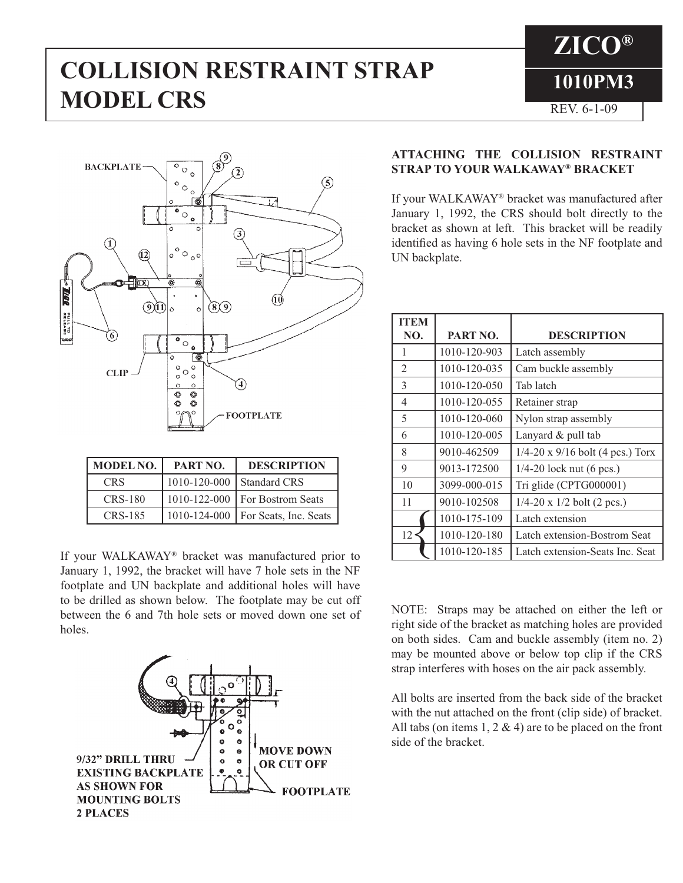# **COLLISION RESTRAINT STRAP** 1010PM3 **MODEL CRS** REV. 6-1-09

**ZICO®**



| <b>MODEL NO.</b> | PART NO.           | <b>DESCRIPTION</b>                   |
|------------------|--------------------|--------------------------------------|
| <b>CRS</b>       | $1010 - 120 - 000$ | Standard CRS                         |
| CRS-180          |                    | 1010-122-000   For Bostrom Seats     |
| CRS-185          |                    | 1010-124-000   For Seats, Inc. Seats |

If your WALKAWAY® bracket was manufactured prior to January 1, 1992, the bracket will have 7 hole sets in the NF footplate and UN backplate and additional holes will have to be drilled as shown below. The footplate may be cut off between the 6 and 7th hole sets or moved down one set of holes.



## **ATTACHING THE COLLISION RESTRAINT STRAP TO YOUR WALKAWAY® BRACKET**

If your WALKAWAY® bracket was manufactured after January 1, 1992, the CRS should bolt directly to the bracket as shown at left. This bracket will be readily identified as having 6 hole sets in the NF footplate and UN backplate.

| <b>ITEM</b>    |              |                                         |
|----------------|--------------|-----------------------------------------|
| NO.            | PART NO.     | <b>DESCRIPTION</b>                      |
| 1              | 1010-120-903 | Latch assembly                          |
| $\mathfrak{D}$ | 1010-120-035 | Cam buckle assembly                     |
| 3              | 1010-120-050 | Tab latch                               |
| 4              | 1010-120-055 | Retainer strap                          |
| 5              | 1010-120-060 | Nylon strap assembly                    |
| 6              | 1010-120-005 | Lanyard $&$ pull tab                    |
| 8              | 9010-462509  | $1/4-20 \times 9/16$ bolt (4 pcs.) Torx |
| 9              | 9013-172500  | $1/4-20$ lock nut (6 pcs.)              |
| 10             | 3099-000-015 | Tri glide (CPTG000001)                  |
| 11             | 9010-102508  | $1/4-20 \times 1/2$ bolt (2 pcs.)       |
|                | 1010-175-109 | Latch extension                         |
| 12             | 1010-120-180 | Latch extension-Bostrom Seat            |
|                | 1010-120-185 | Latch extension-Seats Inc. Seat         |

NOTE: Straps may be attached on either the left or right side of the bracket as matching holes are provided on both sides. Cam and buckle assembly (item no. 2) may be mounted above or below top clip if the CRS strap interferes with hoses on the air pack assembly.

All bolts are inserted from the back side of the bracket with the nut attached on the front (clip side) of bracket. All tabs (on items  $1, 2 \& 4$ ) are to be placed on the front side of the bracket.